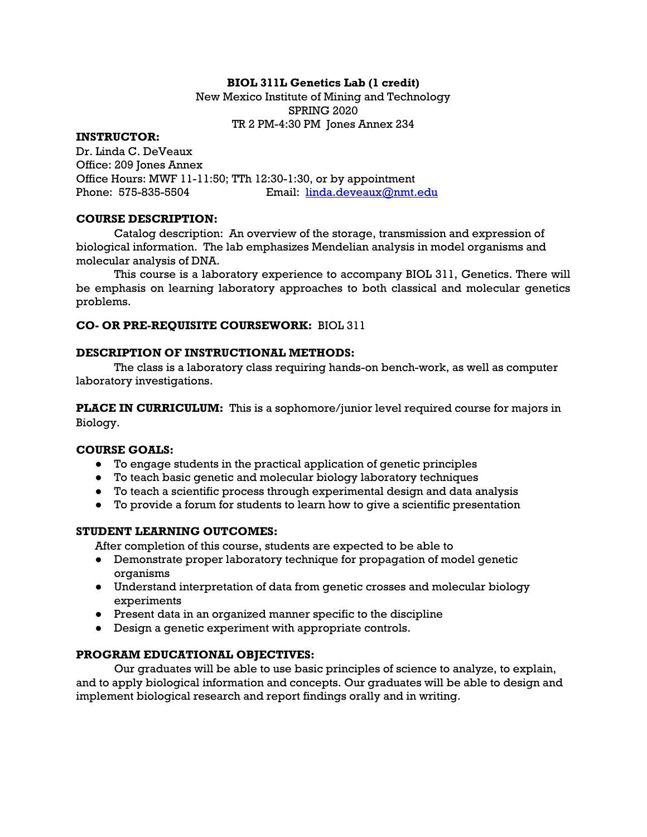# **BIOL 311L Genetics Lab (1 credit)**

New Mexico Institute of Mining and Technology SPRING 2020 TR 2 PM-4:30 PM Jones Annex 234

#### **INSTRUCTOR:**

Dr. Linda C. DeVeaux Office: 209 Jones Annex Office Hours: MWF 11-11:50; TTh 12:30-1:30, or by appointment Phone: 575-835-5504 Email: linda.deveaux@nmt.edu

### **COURSE DESCRIPTION:**

Catalog description: An overview of the storage, transmission and expression of biological information. The lab emphasizes Mendelian analysis in model organisms and molecular analysis of DNA.

This course is a laboratory experience to accompany BIOL 311, Genetics. There will be emphasis on learning laboratory approaches to both classical and molecular genetics problems.

# **CO- OR PRE-REQUISITE COURSEWORK:** BIOL 311

# **DESCRIPTION OF INSTRUCTIONAL METHODS:**

The class is a laboratory class requiring hands-on bench-work, as well as computer laboratory investigations.

**PLACE IN CURRICULUM:** This is a sophomore/junior level required course for majors in Biology.

#### **COURSE GOALS:**

- To engage students in the practical application of genetic principles
- To teach basic genetic and molecular biology laboratory techniques
- To teach a scientific process through experimental design and data analysis
- To provide a forum for students to learn how to give a scientific presentation

# **STUDENT LEARNING OUTCOMES:**

After completion of this course, students are expected to be able to

- Demonstrate proper laboratory technique for propagation of model genetic organisms
- Understand interpretation of data from genetic crosses and molecular biology experiments
- Present data in an organized manner specific to the discipline
- Design a genetic experiment with appropriate controls.

# **PROGRAM EDUCATIONAL OBJECTIVES:**

Our graduates will be able to use basic principles of science to analyze, to explain, and to apply biological information and concepts. Our graduates will be able to design and implement biological research and report findings orally and in writing.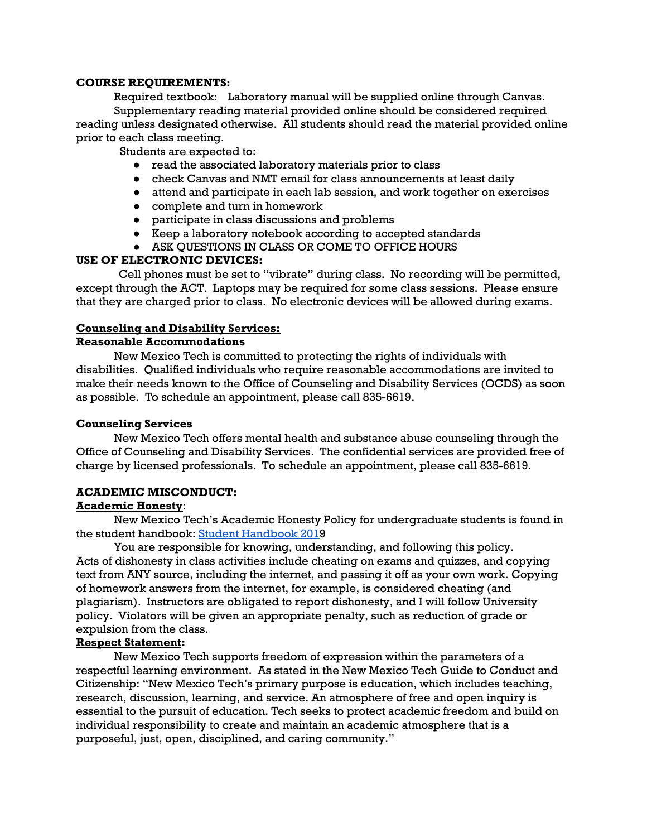### **COURSE REQUIREMENTS:**

Required textbook: Laboratory manual will be supplied online through Canvas. Supplementary reading material provided online should be considered required reading unless designated otherwise. All students should read the material provided online prior to each class meeting.

Students are expected to:

- read the associated laboratory materials prior to class
- check Canvas and NMT email for class announcements at least daily
- attend and participate in each lab session, and work together on exercises
- complete and turn in homework
- participate in class discussions and problems
- Keep a laboratory notebook according to accepted standards
- ASK QUESTIONS IN CLASS OR COME TO OFFICE HOURS

# **USE OF ELECTRONIC DEVICES:**

Cell phones must be set to "vibrate" during class. No recording will be permitted, except through the ACT. Laptops may be required for some class sessions. Please ensure that they are charged prior to class. No electronic devices will be allowed during exams.

# **Counseling and Disability Services:**

# **Reasonable Accommodations**

New Mexico Tech is committed to protecting the rights of individuals with disabilities. Qualified individuals who require reasonable accommodations are invited to make their needs known to the Office of Counseling and Disability Services (OCDS) as soon as possible. To schedule an appointment, please call 835-6619.

# **Counseling Services**

New Mexico Tech offers mental health and substance abuse counseling through the Office of Counseling and Disability Services. The confidential services are provided free of charge by licensed professionals. To schedule an appointment, please call 835-6619.

# **ACADEMIC MISCONDUCT:**

# **Academic Honesty**:

New Mexico Tech's Academic Honesty Policy for undergraduate students is found in the student handbook: Student Handbook 2019

You are responsible for knowing, understanding, and following this policy. Acts of dishonesty in class activities include cheating on exams and quizzes, and copying text from ANY source, including the internet, and passing it off as your own work. Copying of homework answers from the internet, for example, is considered cheating (and plagiarism). Instructors are obligated to report dishonesty, and I will follow University policy. Violators will be given an appropriate penalty, such as reduction of grade or expulsion from the class.

# **Respect Statement:**

New Mexico Tech supports freedom of expression within the parameters of a respectful learning environment. As stated in the New Mexico Tech Guide to Conduct and Citizenship: "New Mexico Tech's primary purpose is education, which includes teaching, research, discussion, learning, and service. An atmosphere of free and open inquiry is essential to the pursuit of education. Tech seeks to protect academic freedom and build on individual responsibility to create and maintain an academic atmosphere that is a purposeful, just, open, disciplined, and caring community."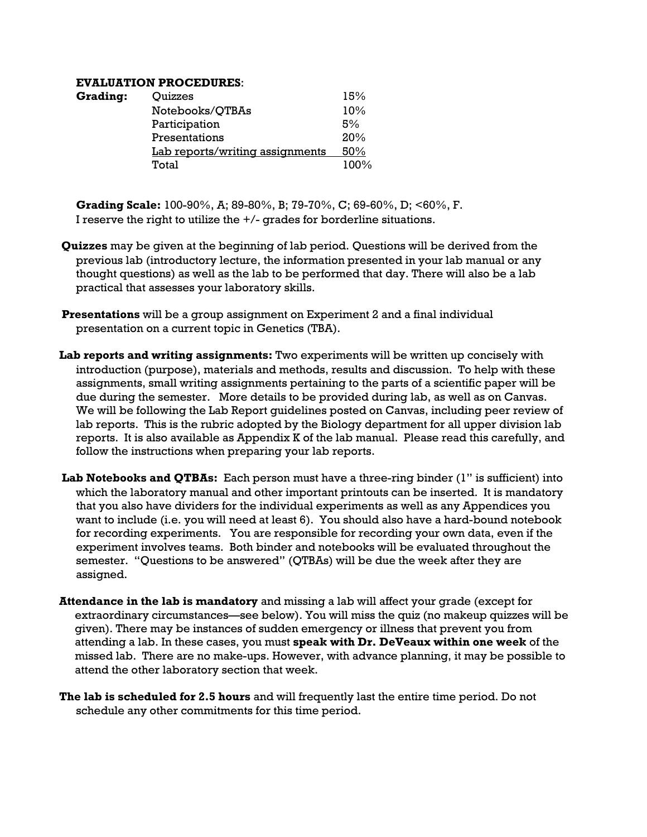### **EVALUATION PROCEDURES**:

| <b>Grading:</b> | Quizzes                         | 15%  |
|-----------------|---------------------------------|------|
|                 | Notebooks/QTBAs                 | 10%  |
|                 | Participation                   | 5%   |
|                 | Presentations                   | 20%  |
|                 | Lab reports/writing assignments | 50%  |
|                 | Total                           | 100% |

**Grading Scale:** 100-90%, A; 89-80%, B; 79-70%, C; 69-60%, D; <60%, F. I reserve the right to utilize the  $+/-$  grades for borderline situations.

- **Quizzes** may be given at the beginning of lab period. Questions will be derived from the previous lab (introductory lecture, the information presented in your lab manual or any thought questions) as well as the lab to be performed that day. There will also be a lab practical that assesses your laboratory skills.
- **Presentations** will be a group assignment on Experiment 2 and a final individual presentation on a current topic in Genetics (TBA).
- **Lab reports and writing assignments:** Two experiments will be written up concisely with introduction (purpose), materials and methods, results and discussion. To help with these assignments, small writing assignments pertaining to the parts of a scientific paper will be due during the semester. More details to be provided during lab, as well as on Canvas. We will be following the Lab Report guidelines posted on Canvas, including peer review of lab reports. This is the rubric adopted by the Biology department for all upper division lab reports. It is also available as Appendix K of the lab manual. Please read this carefully, and follow the instructions when preparing your lab reports.
- **Lab Notebooks and QTBAs:** Each person must have a three-ring binder (1" is sufficient) into which the laboratory manual and other important printouts can be inserted. It is mandatory that you also have dividers for the individual experiments as well as any Appendices you want to include (i.e. you will need at least 6). You should also have a hard-bound notebook for recording experiments. You are responsible for recording your own data, even if the experiment involves teams. Both binder and notebooks will be evaluated throughout the semester. "Questions to be answered" (QTBAs) will be due the week after they are assigned.
- **Attendance in the lab is mandatory** and missing a lab will affect your grade (except for extraordinary circumstances—see below). You will miss the quiz (no makeup quizzes will be given). There may be instances of sudden emergency or illness that prevent you from attending a lab. In these cases, you must **speak with Dr. DeVeaux within one week** of the missed lab. There are no make-ups. However, with advance planning, it may be possible to attend the other laboratory section that week.
- **The lab is scheduled for 2.5 hours** and will frequently last the entire time period. Do not schedule any other commitments for this time period.